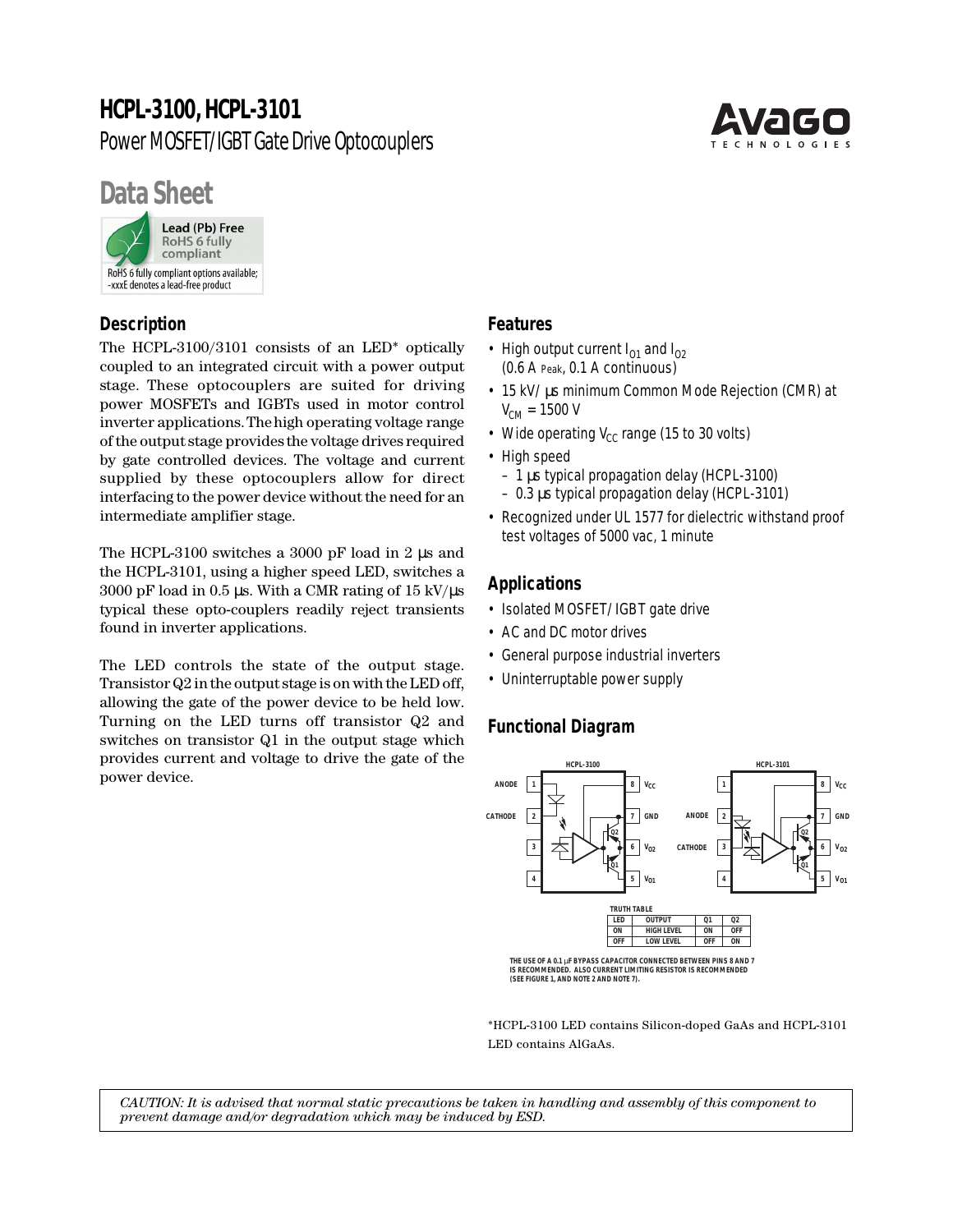## **HCPL-3100, HCPL-3101** Power MOSFET/IGBT Gate Drive Optocouplers



# **Data Sheet**



#### **Description**

The HCPL-3100/3101 consists of an LED\* optically coupled to an integrated circuit with a power output stage. These optocouplers are suited for driving power MOSFETs and IGBTs used in motor control inverter applications. The high operating voltage range of the output stage provides the voltage drives required by gate controlled devices. The voltage and current supplied by these optocouplers allow for direct interfacing to the power device without the need for an intermediate amplifier stage.

The HCPL-3100 switches a 3000 pF load in 2  $\mu$ s and the HCPL-3101, using a higher speed LED, switches a 3000 pF load in 0.5 µs. With a CMR rating of 15 kV/ $\mu$ s typical these opto-couplers readily reject transients found in inverter applications.

The LED controls the state of the output stage. Transistor Q2 in the output stage is on with the LED off, allowing the gate of the power device to be held low. Turning on the LED turns off transistor Q2 and switches on transistor Q1 in the output stage which provides current and voltage to drive the gate of the power device.

#### **Features**

- High output current  $I_{01}$  and  $I_{02}$ (0.6 A Peak, 0.1 A continuous)
- 15 kV/µs minimum Common Mode Rejection (CMR) at  $V_{CM} = 1500 V$
- Wide operating  $V_{CC}$  range (15 to 30 volts)
- High speed
	- 1 µs typical propagation delay (HCPL-3100)
	- 0.3 µs typical propagation delay (HCPL-3101)
- Recognized under UL 1577 for dielectric withstand proof test voltages of 5000 vac, 1 minute

#### **Applications**

- Isolated MOSFET/IGBT gate drive
- AC and DC motor drives
- General purpose industrial inverters
- Uninterruptable power supply

### **Functional Diagram**



\*HCPL-3100 LED contains Silicon-doped GaAs and HCPL-3101 LED contains AlGaAs.

*CAUTION: It is advised that normal static precautions be taken in handling and assembly of this component to prevent damage and/or degradation which may be induced by ESD.*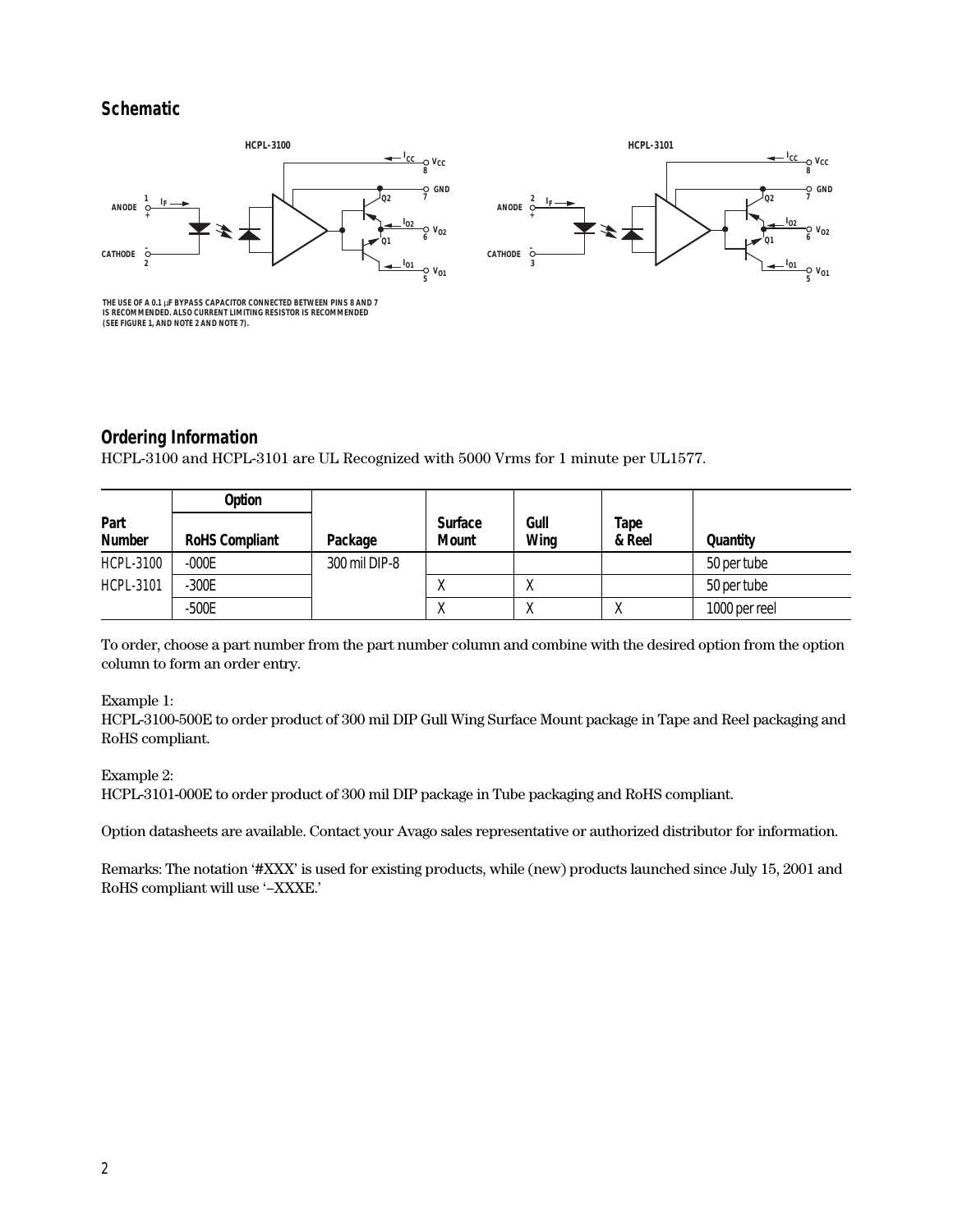#### **Schematic**





**THE USE OF A 0.1** µ**F BYPASS CAPACITOR CONNECTED BETWEEN PINS 8 AND 7 IS RECOMMENDED. ALSO CURRENT LIMITING RESISTOR IS RECOMMENDED (SEE FIGURE 1, AND NOTE 2 AND NOTE 7).**

#### **Ordering Information**

HCPL-3100 and HCPL-3101 are UL Recognized with 5000 Vrms for 1 minute per UL1577.

|                | Option                |               |                         |              |                |                 |
|----------------|-----------------------|---------------|-------------------------|--------------|----------------|-----------------|
| Part<br>Number | <b>RoHS Compliant</b> | Package       | Surface<br><b>Mount</b> | Gull<br>Wing | Tape<br>& Reel | <b>Quantity</b> |
| HCPL-3100      | $-000E$               | 300 mil DIP-8 |                         |              |                | 50 per tube     |
| HCPL-3101      | $-300E$               |               |                         |              |                | 50 per tube     |
|                | $-500E$               |               | $\Lambda$               |              |                | 1000 per reel   |

To order, choose a part number from the part number column and combine with the desired option from the option column to form an order entry.

#### Example 1:

HCPL-3100-500E to order product of 300 mil DIP Gull Wing Surface Mount package in Tape and Reel packaging and RoHS compliant.

Example 2:

HCPL-3101-000E to order product of 300 mil DIP package in Tube packaging and RoHS compliant.

Option datasheets are available. Contact your Avago sales representative or authorized distributor for information.

Remarks: The notation '#XXX' is used for existing products, while (new) products launched since July 15, 2001 and RoHS compliant will use '–XXXE.'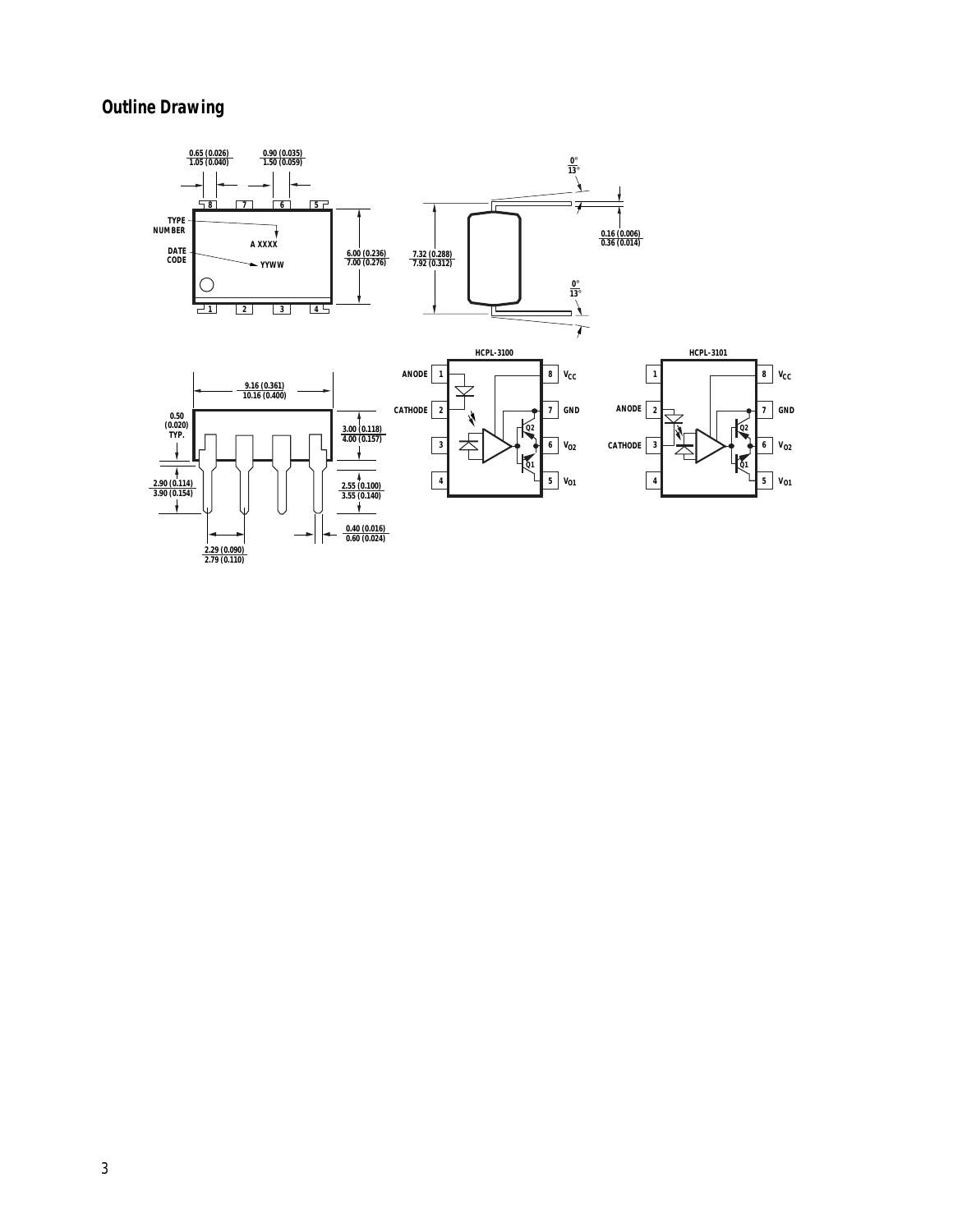## **Outline Drawing**

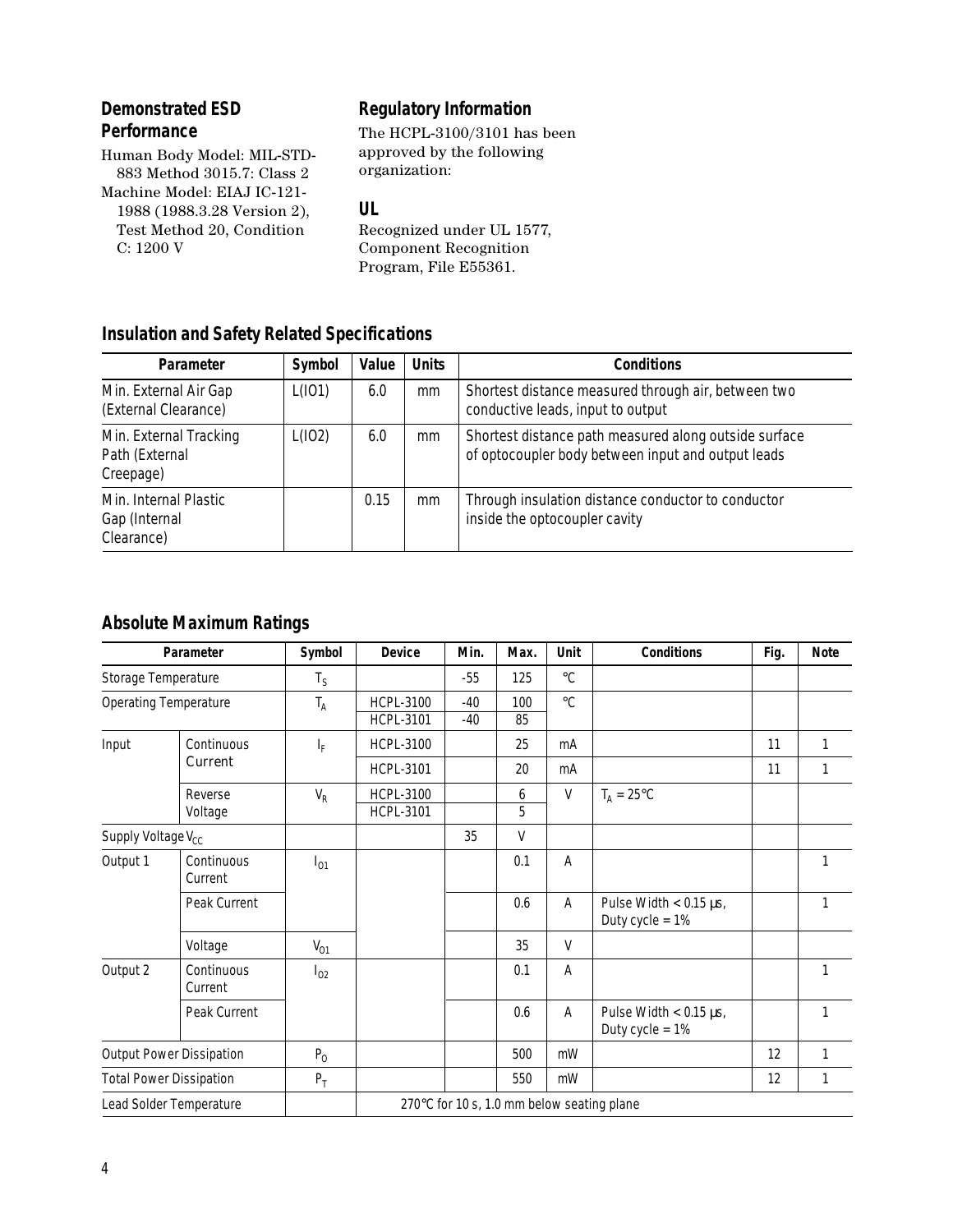#### **Demonstrated ESD Performance**

Human Body Model: MIL-STD-883 Method 3015.7: Class 2 Machine Model: EIAJ IC-121- 1988 (1988.3.28 Version 2), Test Method 20, Condition C: 1200 V

#### **Regulatory Information**

The HCPL-3100/3101 has been approved by the following organization:

#### **UL**

Recognized under UL 1577, Component Recognition Program, File E55361.

#### **Insulation and Safety Related Specifications**

| Parameter                                             | Symbol | Value | <b>Units</b> | <b>Conditions</b>                                                                                           |
|-------------------------------------------------------|--------|-------|--------------|-------------------------------------------------------------------------------------------------------------|
| Min. External Air Gap<br>(External Clearance)         | L(101) | 6.0   | mm           | Shortest distance measured through air, between two<br>conductive leads, input to output                    |
| Min. External Tracking<br>Path (External<br>Creepage) | L(102) | 6.0   | mm           | Shortest distance path measured along outside surface<br>of optocoupler body between input and output leads |
| Min. Internal Plastic<br>Gap (Internal<br>Clearance)  |        | 0.15  | mm           | Through insulation distance conductor to conductor<br>inside the optocoupler cavity                         |

### **Absolute Maximum Ratings**

|                                                                                                                                                                             | Parameter             | Symbol             | <b>Device</b>                        | Min.                                       | Max.         | Unit      | <b>Conditions</b>                                    | Fig. | <b>Note</b> |
|-----------------------------------------------------------------------------------------------------------------------------------------------------------------------------|-----------------------|--------------------|--------------------------------------|--------------------------------------------|--------------|-----------|------------------------------------------------------|------|-------------|
|                                                                                                                                                                             |                       | $T_S$              |                                      | $-55$                                      | 125          | $\circ$ C |                                                      |      |             |
|                                                                                                                                                                             |                       | $T_A$              | <b>HCPL-3100</b><br><b>HCPL-3101</b> | $-40$<br>$-40$                             | 100<br>85    | $\circ$ C |                                                      |      |             |
| Input                                                                                                                                                                       | Continuous            | I <sub>F</sub>     | <b>HCPL-3100</b>                     |                                            | 25           | mA        |                                                      | 11   | 1           |
|                                                                                                                                                                             | Current               |                    | <b>HCPL-3101</b>                     |                                            | 20           | mA        |                                                      | 11   | 1           |
|                                                                                                                                                                             | Reverse<br>Voltage    | $V_R$              | <b>HCPL-3100</b><br><b>HCPL-3101</b> |                                            | 6<br>5       | V         | $T_A = 25^{\circ}C$                                  |      |             |
| Supply Voltage V <sub>cc</sub>                                                                                                                                              |                       |                    |                                      | 35                                         | $\mathsf{V}$ |           |                                                      |      |             |
| Storage Temperature<br><b>Operating Temperature</b><br>Output 1<br>Output 2<br><b>Output Power Dissipation</b><br><b>Total Power Dissipation</b><br>Lead Solder Temperature | Continuous<br>Current | $I_{01}$           |                                      |                                            | 0.1          | A         |                                                      |      | 1           |
|                                                                                                                                                                             | Peak Current          |                    |                                      |                                            | 0.6          | A         | Pulse Width $< 0.15 \,\mu s$ ,<br>Duty cycle = $1\%$ |      | 1           |
|                                                                                                                                                                             | Voltage               | $V_{01}$           |                                      |                                            | 35           | V         |                                                      |      |             |
|                                                                                                                                                                             | Continuous<br>Current | $I_{02}$           |                                      |                                            | 0.1          | A         |                                                      |      | 1           |
|                                                                                                                                                                             | Peak Current          |                    |                                      |                                            | 0.6          | A         | Pulse Width $< 0.15 \,\mu s$ ,<br>Duty cycle = $1\%$ |      | 1           |
|                                                                                                                                                                             |                       | 500<br>$P_0$<br>mW |                                      | 12                                         | 1            |           |                                                      |      |             |
|                                                                                                                                                                             |                       | $P_T$              |                                      |                                            | 550          | mW        |                                                      | 12   | 1           |
|                                                                                                                                                                             |                       |                    |                                      | 270°C for 10 s, 1.0 mm below seating plane |              |           |                                                      |      |             |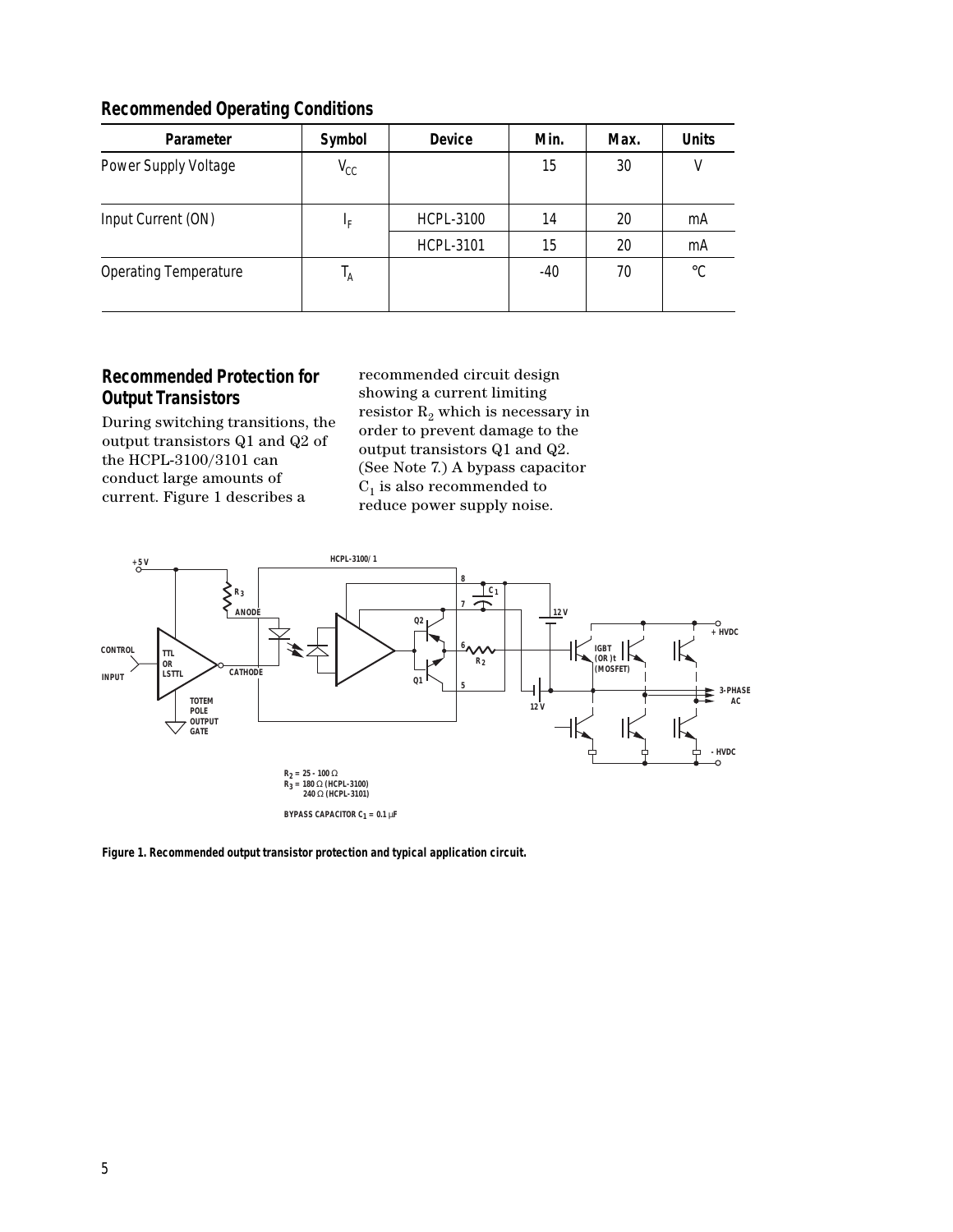|                              | Min.<br><b>Units</b><br>Symbol<br><b>Device</b><br>Max.<br>$V_{CC}$<br>30<br>٧<br>15<br><b>HCPL-3100</b><br>20<br>14<br>mA<br>ΙF<br><b>HCPL-3101</b><br>15<br>20<br>mA<br>°C<br>$\mathsf{T}_\mathsf{A}$<br>$-40$<br>70 |  |  |  |  |  |  |  |  |
|------------------------------|------------------------------------------------------------------------------------------------------------------------------------------------------------------------------------------------------------------------|--|--|--|--|--|--|--|--|
| Parameter                    |                                                                                                                                                                                                                        |  |  |  |  |  |  |  |  |
| Power Supply Voltage         |                                                                                                                                                                                                                        |  |  |  |  |  |  |  |  |
| Input Current (ON)           |                                                                                                                                                                                                                        |  |  |  |  |  |  |  |  |
|                              |                                                                                                                                                                                                                        |  |  |  |  |  |  |  |  |
| <b>Operating Temperature</b> |                                                                                                                                                                                                                        |  |  |  |  |  |  |  |  |

#### **Recommended Operating Conditions**

#### **Recommended Protection for Output Transistors**

During switching transitions, the output transistors Q1 and Q2 of the HCPL-3100/3101 can conduct large amounts of current. Figure 1 describes a

recommended circuit design showing a current limiting resistor  $R_2$  which is necessary in order to prevent damage to the output transistors Q1 and Q2. (See Note 7.) A bypass capacitor  $C_1$  is also recommended to reduce power supply noise.



**Figure 1. Recommended output transistor protection and typical application circuit.**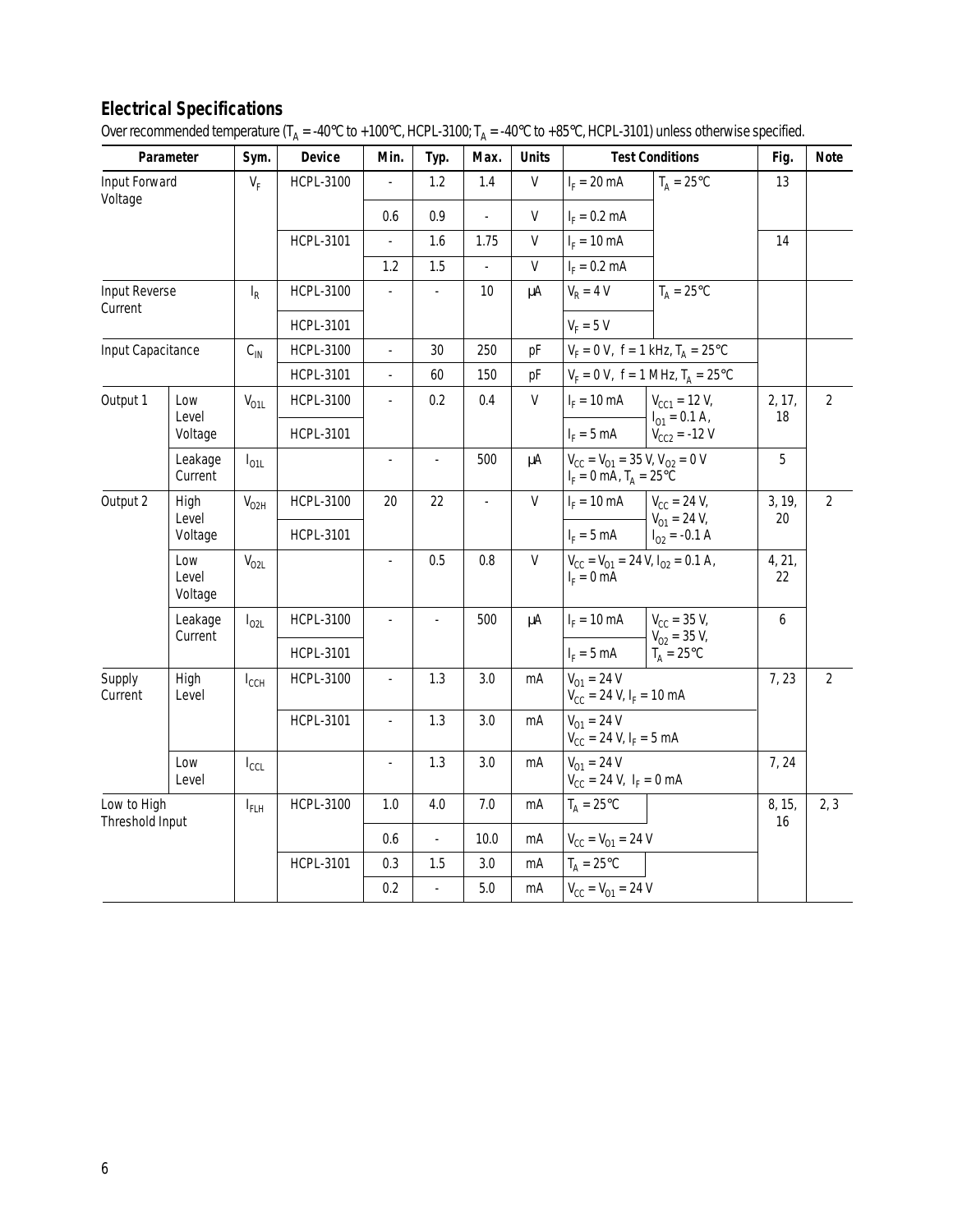#### **Electrical Specifications**

|                                 | Parameter               | Sym.               | <b>Device</b>    | Min.           | Typ.   | Max.           | <b>Units</b> | <b>Test Conditions</b>                                                      |                                          | Fig.         | <b>Note</b>    |
|---------------------------------|-------------------------|--------------------|------------------|----------------|--------|----------------|--------------|-----------------------------------------------------------------------------|------------------------------------------|--------------|----------------|
| Input Forward<br>Voltage        |                         | $V_F$              | <b>HCPL-3100</b> | $\mathbf{r}$   | 1.2    | 1.4            | $\mathsf{V}$ | $I_F = 20 \text{ mA}$                                                       | $T_A = 25^{\circ}C$                      | 13           |                |
|                                 |                         |                    |                  | 0.6            | 0.9    | $\overline{a}$ | V            | $I_F = 0.2$ mA                                                              |                                          |              |                |
|                                 |                         |                    | <b>HCPL-3101</b> |                | 1.6    | 1.75           | V            | $I_F = 10 \text{ mA}$                                                       |                                          | 14           |                |
|                                 |                         |                    |                  | 1.2            | 1.5    | $\omega$       | V            | $I_F = 0.2$ mA                                                              |                                          |              |                |
| <b>Input Reverse</b><br>Current |                         | $I_R$              | <b>HCPL-3100</b> |                |        | 10             | μA           | $V_R = 4 V$                                                                 | $T_A = 25^{\circ}C$                      |              |                |
|                                 |                         |                    | <b>HCPL-3101</b> |                |        |                |              | $V_F = 5 V$                                                                 |                                          |              |                |
| Input Capacitance               |                         | $C_{IN}$           | <b>HCPL-3100</b> | $\omega$       | 30     | 250            | pF           | $V_F = 0 V$ , f = 1 kHz, T <sub>A</sub> = 25°C                              |                                          |              |                |
|                                 |                         |                    | <b>HCPL-3101</b> | ä,             | 60     | 150            | рF           | $V_F = 0 V$ , f = 1 MHz, T <sub>A</sub> = 25°C                              |                                          |              |                |
| Output 1                        | Low<br>Level            | $V_{O1L}$          | <b>HCPL-3100</b> | ÷.             | 0.2    | 0.4            | V            | $I_F = 10 \text{ mA}$                                                       | $V_{CC1} = 12 V$ ,<br>$I_{01} = 0.1 A$ , | 2, 17,<br>18 | $\overline{2}$ |
|                                 | Voltage                 |                    | <b>HCPL-3101</b> |                |        |                |              | $I_F = 5$ mA                                                                | $V_{CC2}$ = -12 V                        |              |                |
| Leakage<br>Current              |                         | $I_{01L}$          |                  | $\blacksquare$ | ä,     | 500            | μA           | $V_{CC} = V_{O1} = 35 V, V_{O2} = 0 V$<br>$I_F = 0$ mA, $T_A = 25^{\circ}C$ |                                          | 5            |                |
| Output 2                        | High<br>Level           | $V_{O2H}$          | <b>HCPL-3100</b> | 20             | 22     | $\Box$         | $\mathsf{V}$ | $I_F = 10 \text{ mA}$                                                       | $V_{CC} = 24 V$ ,<br>$V_{01} = 24 V$ ,   | 3, 19,<br>20 | $\overline{2}$ |
|                                 | Voltage                 |                    | <b>HCPL-3101</b> |                |        |                |              | $I_F = 5$ mA                                                                | $I_{02} = -0.1 A$                        |              |                |
|                                 | Low<br>Level<br>Voltage | $V_{O2L}$          |                  | $\blacksquare$ | 0.5    | 0.8            | V            | $V_{CC} = V_{O1} = 24 V, I_{O2} = 0.1 A,$<br>$I_F = 0$ mA                   |                                          | 4, 21,<br>22 |                |
|                                 | Leakage                 | $I_{O2L}$          | <b>HCPL-3100</b> |                |        | 500            | μA           | $I_F = 10 \text{ mA}$                                                       | $V_{CC}$ = 35 V,                         | 6            |                |
|                                 | Current                 |                    | <b>HCPL-3101</b> |                |        |                |              | $I_F = 5$ mA                                                                | $V_{02} = 35 V$<br>$T_A = 25^{\circ}C$   |              |                |
| Supply<br>Current               | High<br>Level           | $I_{\text{CCH}}$   | <b>HCPL-3100</b> | ä,             | 1.3    | 3.0            | mA           | $V_{01} = 24 V$<br>$V_{CC}$ = 24 V, $I_F$ = 10 mA                           | 7, 23                                    |              | $\overline{2}$ |
|                                 |                         |                    | <b>HCPL-3101</b> | ÷,             | 1.3    | 3.0            | mA           | $V_{01} = 24 V$<br>$V_{CC}$ = 24 V, $I_F$ = 5 mA                            |                                          |              |                |
|                                 | Low<br>Level            | $I_{\text{CCL}}$   |                  |                | 1.3    | 3.0            | mA           | $V_{01} = 24 V$<br>$V_{CC}$ = 24 V, $I_F$ = 0 mA                            |                                          | 7, 24        |                |
| Low to High<br>Threshold Input  |                         | $I_{\mathsf{FLH}}$ | <b>HCPL-3100</b> | 1.0            | 4.0    | 7.0            | mA           | $T_A = 25^{\circ}C$                                                         |                                          | 8, 15,<br>16 | 2, 3           |
|                                 |                         |                    |                  | 0.6            | $\Box$ | 10.0           | mA           | $V_{CC} = V_{O1} = 24 V$                                                    |                                          |              |                |
|                                 |                         |                    | <b>HCPL-3101</b> | 0.3            | 1.5    | 3.0            | mA           | $T_A = 25^{\circ}C$                                                         |                                          |              |                |
|                                 |                         |                    |                  | 0.2            | $\Box$ | 5.0            | mA           | $V_{CC} = V_{O1} = 24 V$                                                    |                                          |              |                |

Over recommended temperature (T<sub>A</sub> = -40°C to +100°C, HCPL-3100; T<sub>A</sub> = -40°C to +85°C, HCPL-3101) unless otherwise specified.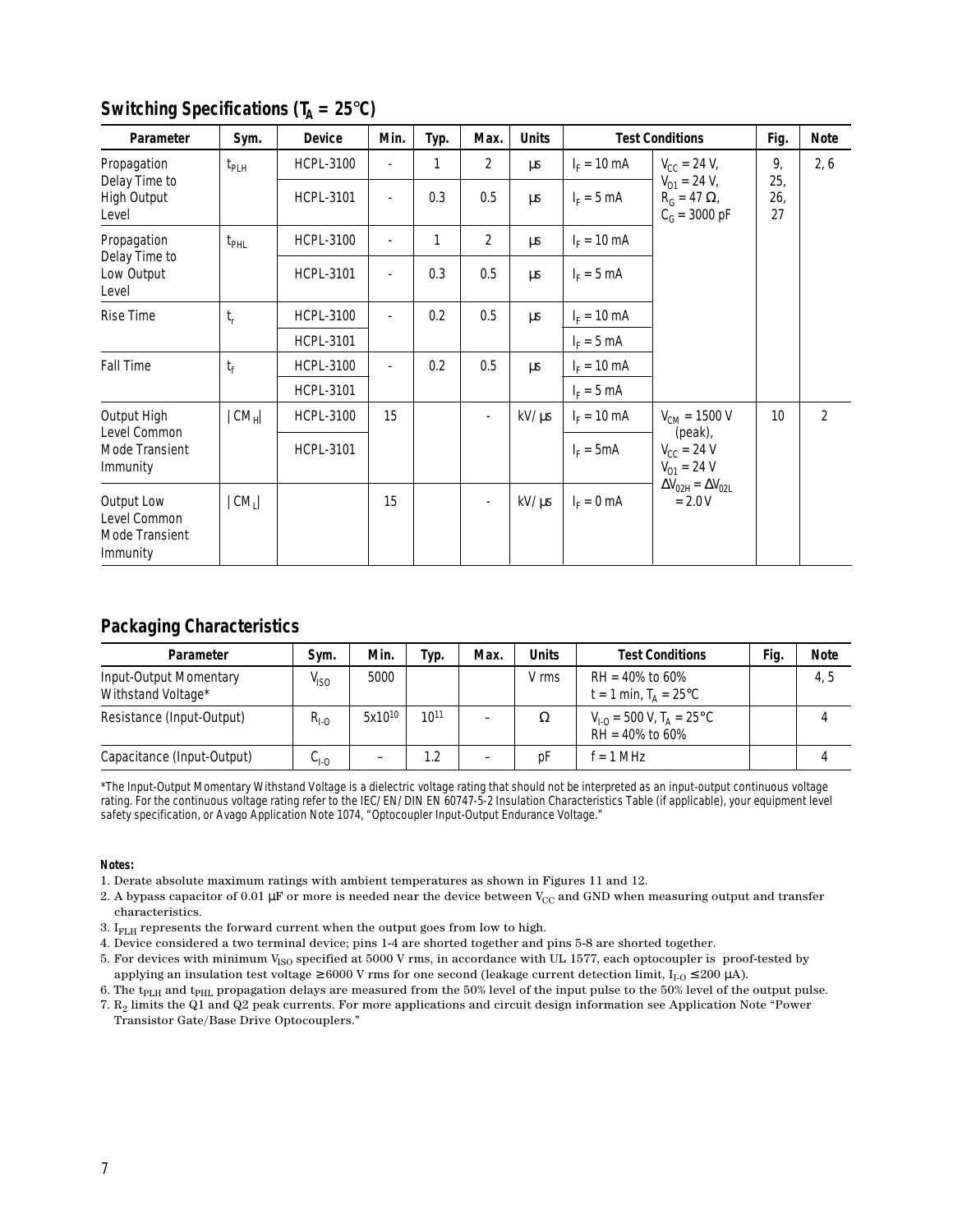| Parameter                                                | Sym.            | <b>Device</b>    | Min.                     | Typ. | Max.                     | <b>Units</b> |                       | <b>Test Conditions</b>                                    | Fig.             | <b>Note</b> |
|----------------------------------------------------------|-----------------|------------------|--------------------------|------|--------------------------|--------------|-----------------------|-----------------------------------------------------------|------------------|-------------|
| Propagation                                              | $t_{PLH}$       | <b>HCPL-3100</b> | $\overline{\phantom{0}}$ | 1    | 2                        | μs           | $I_F = 10 \text{ mA}$ | $V_{CC}$ = 24 V,                                          | 9,               | 2, 6        |
| Delay Time to<br><b>High Output</b><br>Level             |                 | <b>HCPL-3101</b> | $\blacksquare$           | 0.3  | 0.5                      | μs           | $I_F = 5$ mA          | $V_{01} = 24 V$ ,<br>$R_G = 47 \Omega$<br>$C_G$ = 3000 pF | 25,<br>26,<br>27 |             |
| Propagation                                              | $t_{PHL}$       | <b>HCPL-3100</b> | $\blacksquare$           | 1    | $\overline{2}$           | μs           | $I_F = 10 \text{ mA}$ |                                                           |                  |             |
| Delay Time to<br>Low Output<br>Level                     |                 | <b>HCPL-3101</b> | $\blacksquare$           | 0.3  | 0.5                      | μs           | $I_F = 5$ mA          |                                                           |                  |             |
| <b>Rise Time</b>                                         | $t_{r}$         | <b>HCPL-3100</b> |                          | 0.2  | 0.5                      | μs           | $I_F = 10 \text{ mA}$ |                                                           |                  |             |
|                                                          |                 | <b>HCPL-3101</b> |                          |      |                          |              | $I_F = 5$ mA          |                                                           |                  |             |
| <b>Fall Time</b>                                         | $t_f$           | <b>HCPL-3100</b> | $\blacksquare$           | 0.2  | 0.5                      | μs           | $I_F = 10 \text{ mA}$ |                                                           |                  |             |
|                                                          |                 | <b>HCPL-3101</b> |                          |      |                          |              | $I_F = 5$ mA          |                                                           |                  |             |
| Output High<br>Level Common                              | $ CM_H $        | <b>HCPL-3100</b> | 15                       |      | $\blacksquare$           | $kV/ \mu s$  | $I_F = 10 \text{ mA}$ | $V_{CM} = 1500 V$<br>(peak),                              | 10               | 2           |
| Mode Transient<br>Immunity                               |                 | <b>HCPL-3101</b> |                          |      |                          |              | $I_F = 5mA$           | $V_{CC} = 24 V$<br>$V_{01} = 24 V$                        |                  |             |
| Output Low<br>Level Common<br>Mode Transient<br>Immunity | CM <sub>1</sub> |                  | 15                       |      | $\overline{\phantom{a}}$ | $kV/\mu s$   | $I_F = 0$ mA          | $\Delta V_{02H} = \Delta V_{02L}$<br>$= 2.0 V$            |                  |             |

### **Switching Specifications (** $T_A = 25^\circ \text{C}$ **)**

### **Packaging Characteristics**

| Parameter                                    | Sym.      | Min.               | ⊤ур.      | Max. | <b>Units</b> | <b>Test Conditions</b>                                         | Fig. | <b>Note</b> |
|----------------------------------------------|-----------|--------------------|-----------|------|--------------|----------------------------------------------------------------|------|-------------|
| Input-Output Momentary<br>Withstand Voltage* | $V_{ISO}$ | 5000               |           |      | V rms        | $RH = 40\%$ to 60%<br>t = 1 min, $T_{\text{A}}$ = 25°C         |      | 4, 5        |
| Resistance (Input-Output)                    | $R_{1.0}$ | 5x10 <sup>10</sup> | $10^{11}$ | -    | Ω            | $V_{1-0}$ = 500 V, T <sub>A</sub> = 25°C<br>$RH = 40\%$ to 60% |      |             |
| Capacitance (Input-Output)                   | ∿⊩0       | -                  |           | -    | рF           | $= 1 MHz$                                                      |      |             |

\*The Input-Output Momentary Withstand Voltage is a dielectric voltage rating that should not be interpreted as an input-output continuous voltage rating. For the continuous voltage rating refer to the IEC/EN/DIN EN 60747-5-2 Insulation Characteristics Table (if applicable), your equipment level safety specification, or Avago Application Note 1074, "Optocoupler Input-Output Endurance Voltage."

#### **Notes:**

- 1. Derate absolute maximum ratings with ambient temperatures as shown in Figures 11 and 12.
- 2. A bypass capacitor of 0.01 µF or more is needed near the device between  $V_{CC}$  and GND when measuring output and transfer characteristics.
- 3.  $I_{\text{FLH}}$  represents the forward current when the output goes from low to high.
- 4. Device considered a two terminal device; pins 1-4 are shorted together and pins 5-8 are shorted together.
- 5. For devices with minimum V<sub>ISO</sub> specified at 5000 V rms, in accordance with UL 1577, each optocoupler is proof-tested by applying an insulation test voltage  $\geq 6000$  V rms for one second (leakage current detection limit,  $I_{\rm I-O}\leq 200$   $\mu\rm A)$ .
- 6. The t<sub>PLH</sub> and t<sub>PHL</sub> propagation delays are measured from the 50% level of the input pulse to the 50% level of the output pulse.
- 7.  $R_2$  limits the Q1 and Q2 peak currents. For more applications and circuit design information see Application Note "Power Transistor Gate/Base Drive Optocouplers."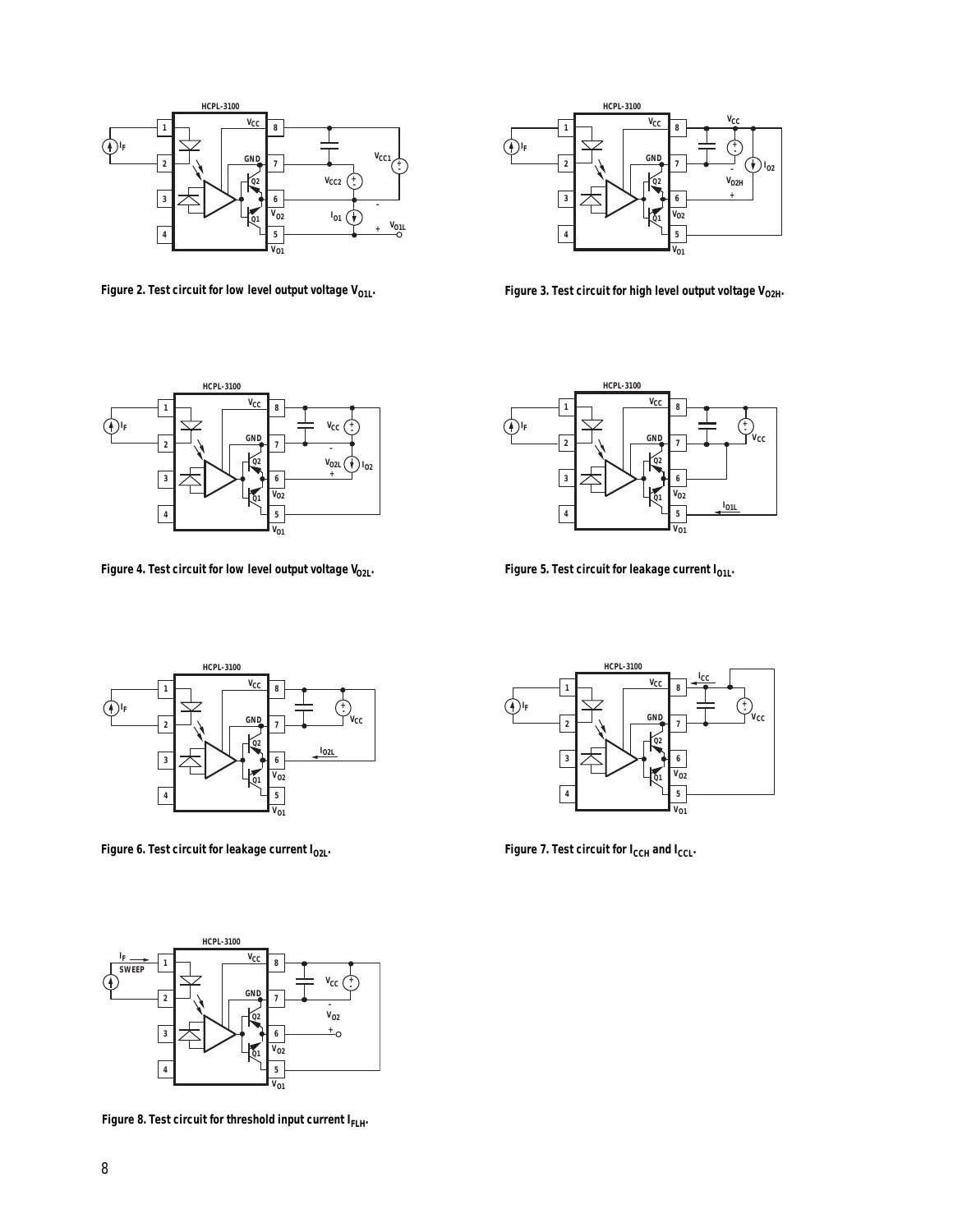

Figure 2. Test circuit for low level output voltage V<sub>O1L</sub>. **Figure 3. Test circuit for high level output voltage V<sub>O2H</sub>.** 





Figure 4. Test circuit for low level output voltage V<sub>O2L</sub>. Figure 5. Test circuit for leakage current I<sub>O1L</sub>.





Figure 6. Test circuit for leakage current  $I_{O2L}$ . **Figure 7. Test circuit for**  $I_{CCH}$  **and**  $I_{CCL}$ .





Figure 8. Test circuit for threshold input current I<sub>FLH</sub>.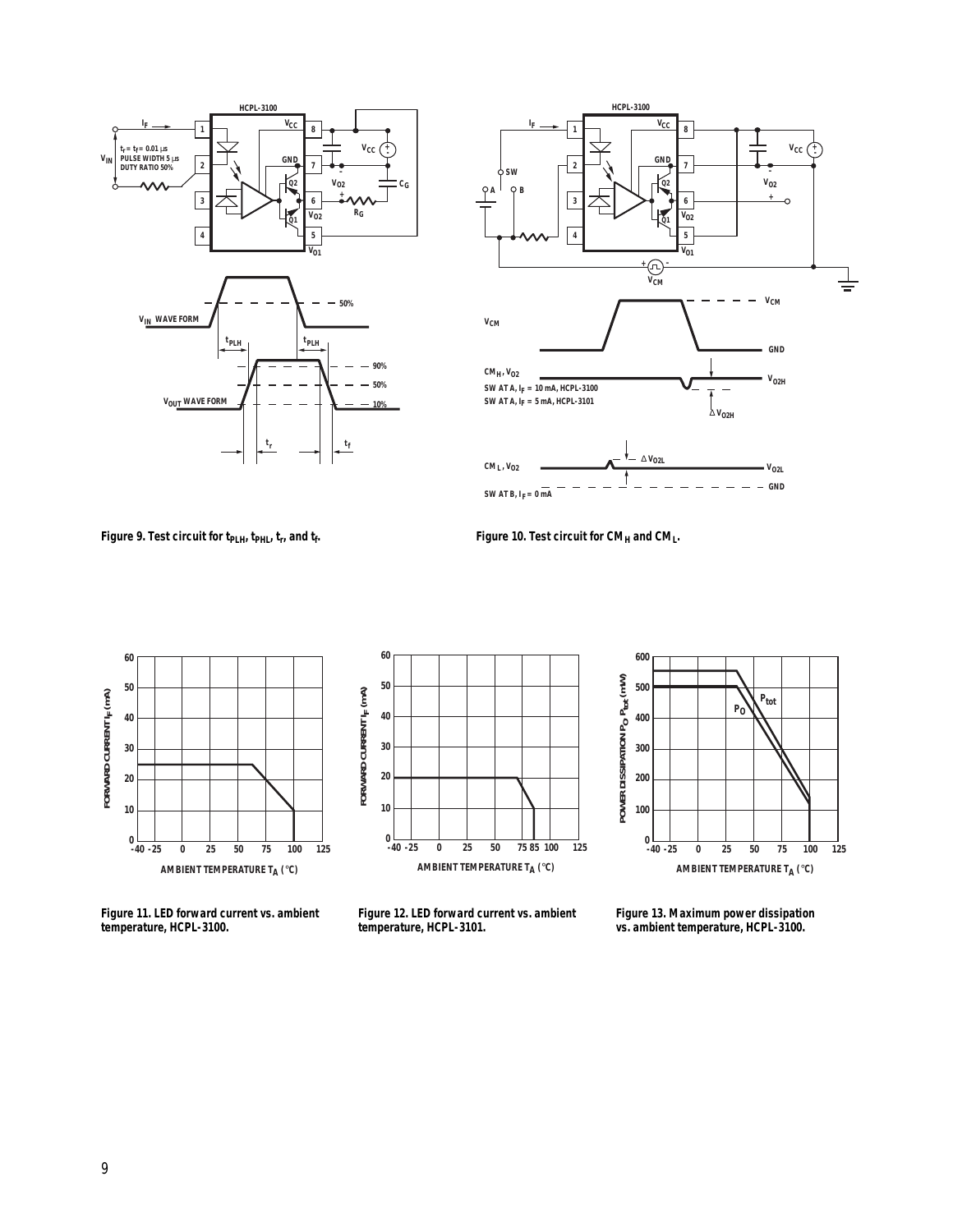



Figure 9. Test circuit for  $t_{PLH}$ ,  $t_{PHL}$ ,  $t_r$ , and  $t_f$ .

Figure 10. Test circuit for CM<sub>H</sub> and CM<sub>L</sub>.

**600**







**75 85 100 125**



**Figure 12. LED forward current vs. ambient temperature, HCPL-3101.**

**Figure 13. Maximum power dissipation vs. ambient temperature, HCPL-3100.**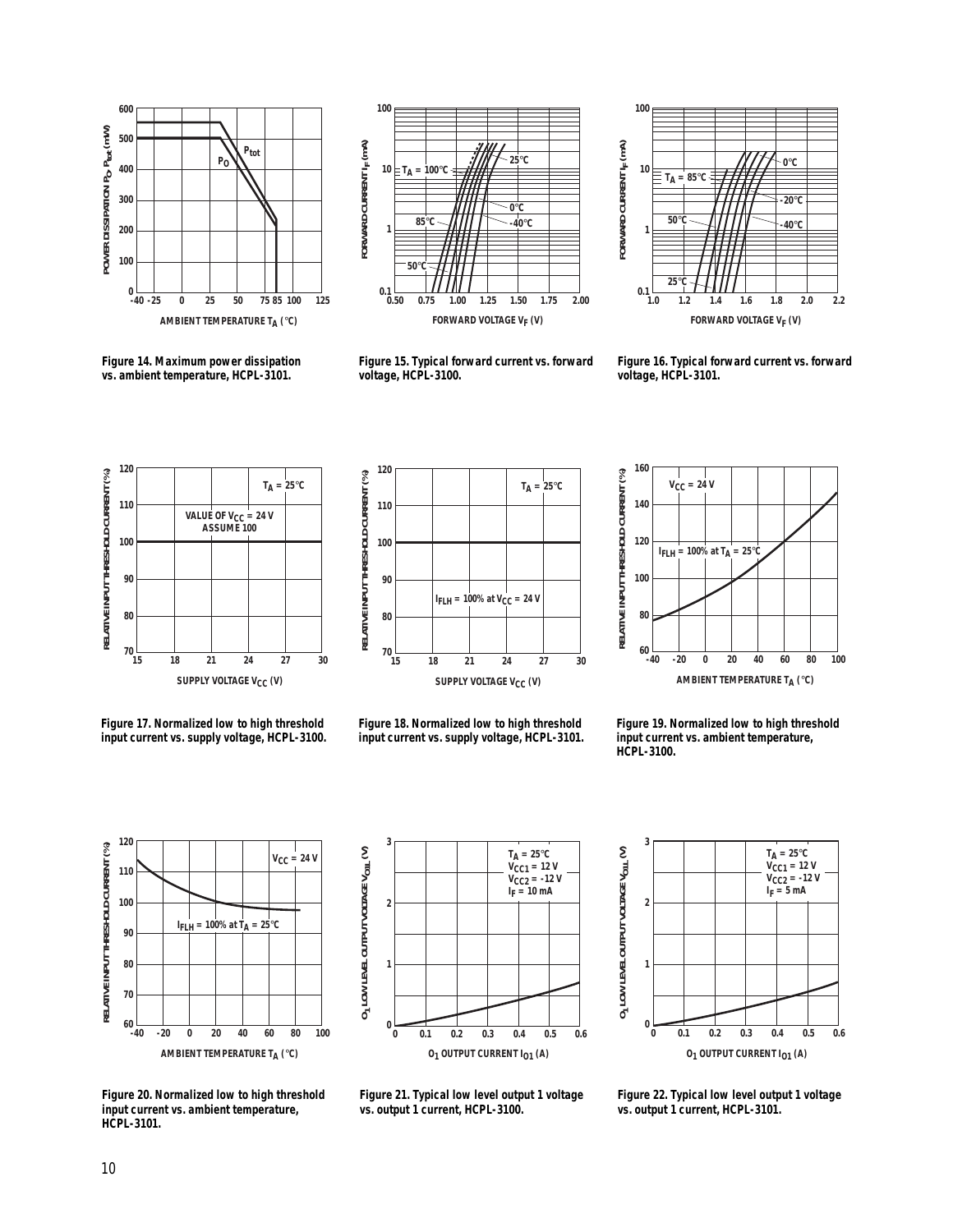

**Figure 14. Maximum power dissipation vs. ambient temperature, HCPL-3101.**



**Figure 15. Typical forward current vs. forward voltage, HCPL-3100.**



**Figure 16. Typical forward current vs. forward voltage, HCPL-3101.**



**Figure 17. Normalized low to high threshold input current vs. supply voltage, HCPL-3100.**



**Figure 18. Normalized low to high threshold input current vs. supply voltage, HCPL-3101.**



**Figure 19. Normalized low to high threshold input current vs. ambient temperature, HCPL-3100.**

**3**



**Figure 20. Normalized low to high threshold input current vs. ambient temperature, HCPL-3101.**





**Figure 21. Typical low level output 1 voltage vs. output 1 current, HCPL-3100.**

**Figure 22. Typical low level output 1 voltage vs. output 1 current, HCPL-3101.**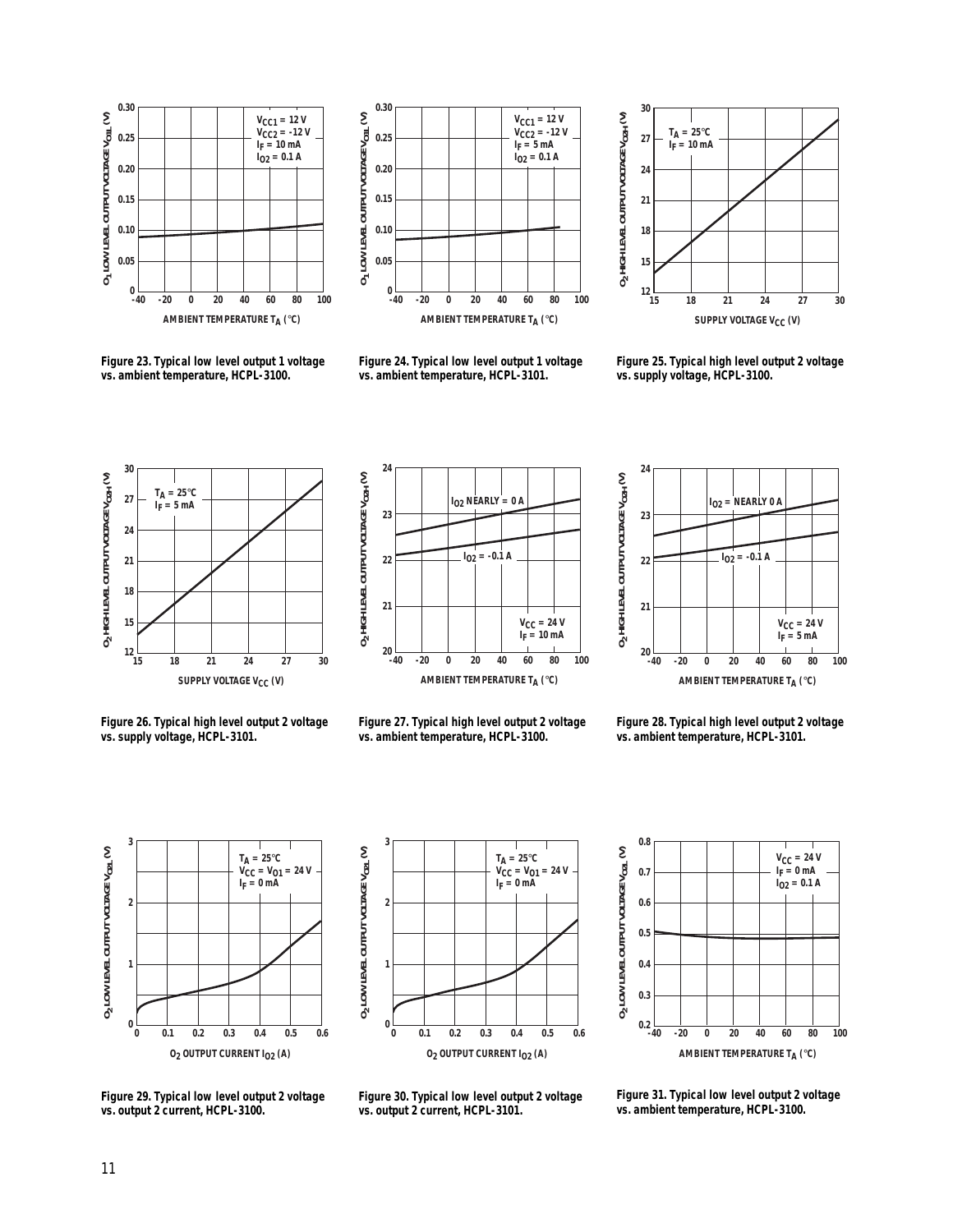



**Figure 23. Typical low level output 1 voltage vs. ambient temperature, HCPL-3100.**





**Figure 25. Typical high level output 2 voltage vs. supply voltage, HCPL-3100.**







**Figure 26. Typical high level output 2 voltage vs. supply voltage, HCPL-3101.**



**Figure 28. Typical high level output 2 voltage vs. ambient temperature, HCPL-3101.**



**Figure 29. Typical low level output 2 voltage vs. output 2 current, HCPL-3100.**



**Figure 30. Typical low level output 2 voltage vs. output 2 current, HCPL-3101.**



**Figure 31. Typical low level output 2 voltage vs. ambient temperature, HCPL-3100.**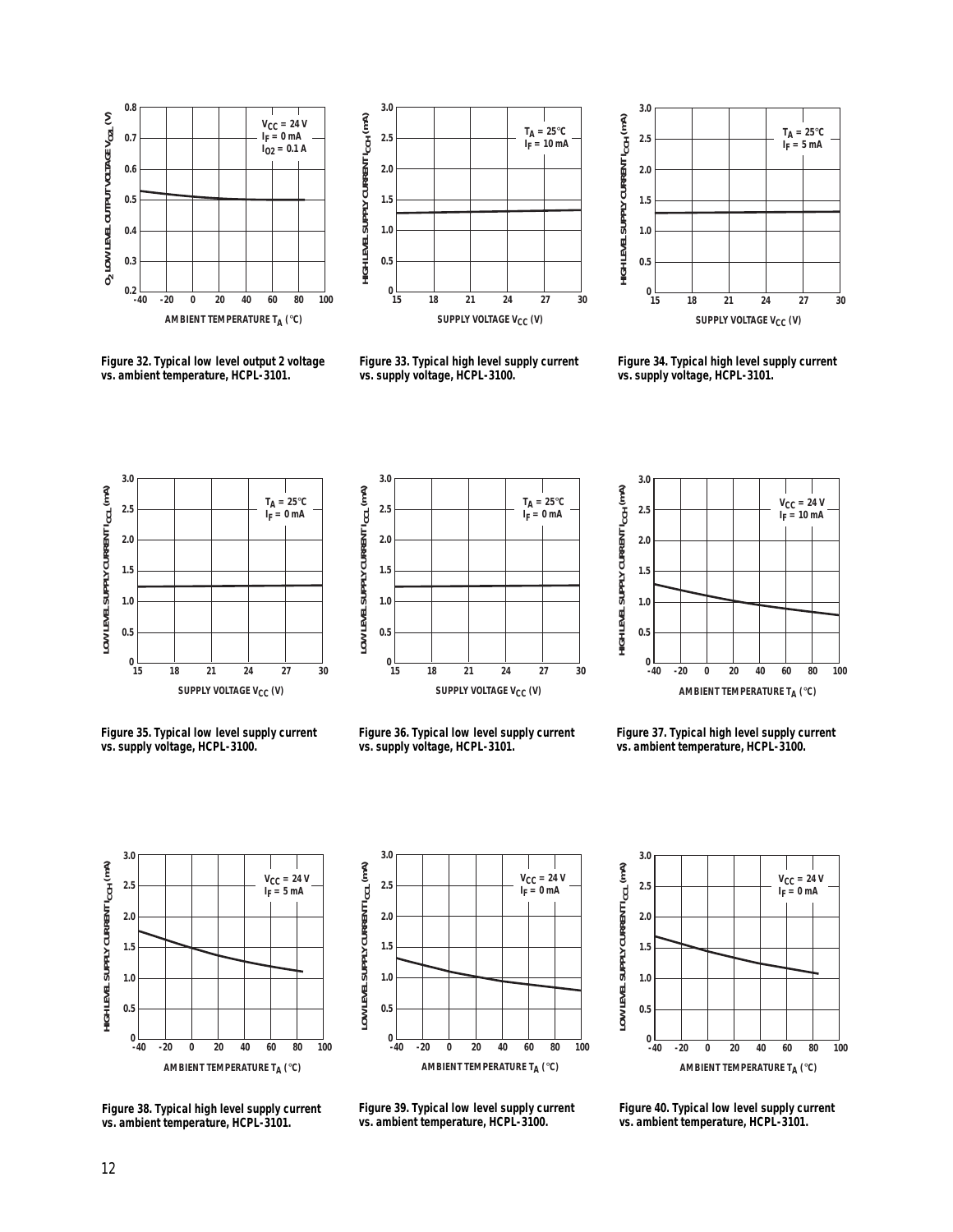



**Figure 32. Typical low level output 2 voltage vs. ambient temperature, HCPL-3101.**





**Figure 34. Typical high level supply current vs. supply voltage, HCPL-3101.**







**Figure 35. Typical low level supply current vs. supply voltage, HCPL-3100.**



**Figure 37. Typical high level supply current vs. ambient temperature, HCPL-3100.**



**Figure 38. Typical high level supply current vs. ambient temperature, HCPL-3101.**

**3.0** LOW LEVEL SUPPLY CURRENT I<sub>CCL</sub> (mA) **LOW LEVEL SUPPLY CURRENT ICCL (mA)**  $V_{CC} = 24 V$ **2.5**  $I_F = 0$  mA **2.0 1.5 1.0 0.5**  $0$   $-40$ **-40 -20 0 20 40 60 80 100 AMBIENT TEMPERATURE TA (**°**C)**

**3.0** LOW LEVEL SUPPLY CURRENT I<sub>CCL</sub> (mA) **LOW LEVEL SUPPLY CURRENT ICCL (mA) VCC = 24 V IF = 0 mA2.5 2.0 1.5 1.0 0.5 0 -40 -20 0 20 40 60 80 100 AMBIENT TEMPERATURE TA (**°**C)**

**Figure 39. Typical low level supply current vs. ambient temperature, HCPL-3100.**

**Figure 40. Typical low level supply current vs. ambient temperature, HCPL-3101.**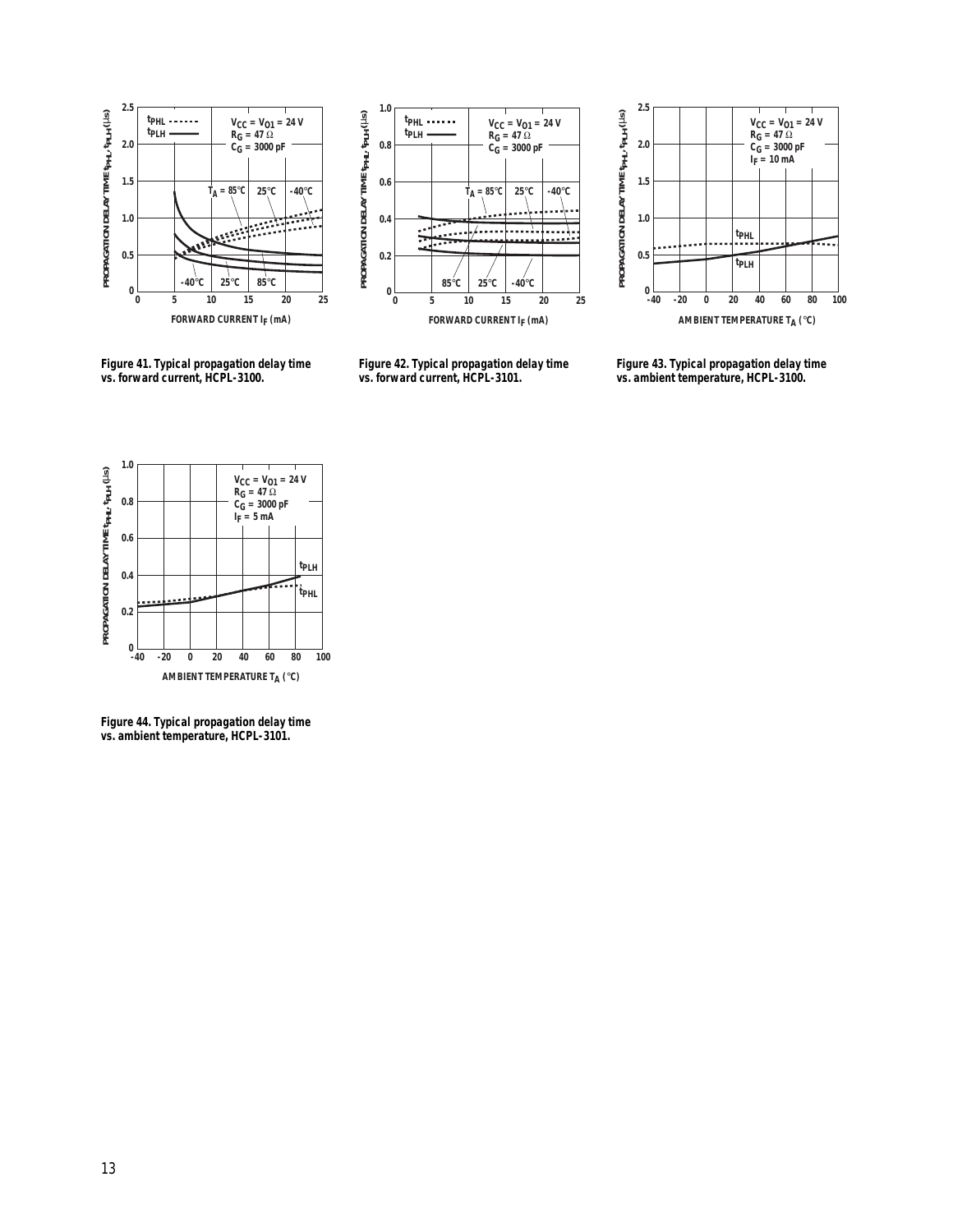



**Figure 41. Typical propagation delay time vs. forward current, HCPL-3100.**

**Figure 42. Typical propagation delay time vs. forward current, HCPL-3101.**



**Figure 43. Typical propagation delay time vs. ambient temperature, HCPL-3100.**



**Figure 44. Typical propagation delay time vs. ambient temperature, HCPL-3101.**